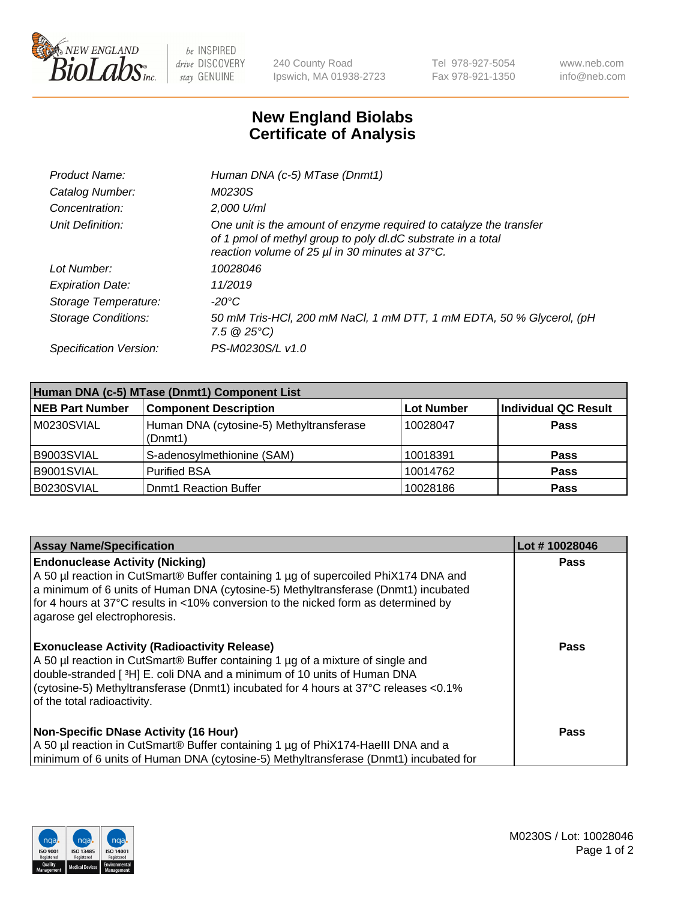

 $be$  INSPIRED drive DISCOVERY stay GENUINE

240 County Road Ipswich, MA 01938-2723 Tel 978-927-5054 Fax 978-921-1350 www.neb.com info@neb.com

## **New England Biolabs Certificate of Analysis**

| Product Name:              | Human DNA (c-5) MTase (Dnmt1)                                                                                                                                                         |
|----------------------------|---------------------------------------------------------------------------------------------------------------------------------------------------------------------------------------|
| Catalog Number:            | M0230S                                                                                                                                                                                |
| Concentration:             | 2,000 U/ml                                                                                                                                                                            |
| Unit Definition:           | One unit is the amount of enzyme required to catalyze the transfer<br>of 1 pmol of methyl group to poly dl.dC substrate in a total<br>reaction volume of 25 µl in 30 minutes at 37°C. |
| Lot Number:                | 10028046                                                                                                                                                                              |
| <b>Expiration Date:</b>    | 11/2019                                                                                                                                                                               |
| Storage Temperature:       | $-20^{\circ}$ C                                                                                                                                                                       |
| <b>Storage Conditions:</b> | 50 mM Tris-HCl, 200 mM NaCl, 1 mM DTT, 1 mM EDTA, 50 % Glycerol, (pH<br>$7.5 \ @ 25^{\circ}C$                                                                                         |
| Specification Version:     | PS-M0230S/L v1.0                                                                                                                                                                      |

| Human DNA (c-5) MTase (Dnmt1) Component List |                                                     |                   |                      |  |
|----------------------------------------------|-----------------------------------------------------|-------------------|----------------------|--|
| <b>NEB Part Number</b>                       | <b>Component Description</b>                        | <b>Lot Number</b> | Individual QC Result |  |
| M0230SVIAL                                   | Human DNA (cytosine-5) Methyltransferase<br>(Dnmt1) | 10028047          | <b>Pass</b>          |  |
| B9003SVIAL                                   | S-adenosylmethionine (SAM)                          | 10018391          | <b>Pass</b>          |  |
| B9001SVIAL                                   | <b>Purified BSA</b>                                 | 10014762          | <b>Pass</b>          |  |
| B0230SVIAL                                   | <b>Domt1 Reaction Buffer</b>                        | 10028186          | <b>Pass</b>          |  |

| <b>Assay Name/Specification</b>                                                                                                                                                                                                                                                                                                           | Lot #10028046 |
|-------------------------------------------------------------------------------------------------------------------------------------------------------------------------------------------------------------------------------------------------------------------------------------------------------------------------------------------|---------------|
| <b>Endonuclease Activity (Nicking)</b><br>A 50 µl reaction in CutSmart® Buffer containing 1 µg of supercoiled PhiX174 DNA and<br>a minimum of 6 units of Human DNA (cytosine-5) Methyltransferase (Dnmt1) incubated<br>for 4 hours at 37°C results in <10% conversion to the nicked form as determined by<br>agarose gel electrophoresis. | Pass          |
| <b>Exonuclease Activity (Radioactivity Release)</b><br>A 50 µl reaction in CutSmart® Buffer containing 1 µg of a mixture of single and<br>double-stranded [3H] E. coli DNA and a minimum of 10 units of Human DNA<br>(cytosine-5) Methyltransferase (Dnmt1) incubated for 4 hours at 37°C releases <0.1%<br>of the total radioactivity.   | <b>Pass</b>   |
| <b>Non-Specific DNase Activity (16 Hour)</b><br>A 50 µl reaction in CutSmart® Buffer containing 1 µg of PhiX174-HaellI DNA and a<br>minimum of 6 units of Human DNA (cytosine-5) Methyltransferase (Dnmt1) incubated for                                                                                                                  | <b>Pass</b>   |